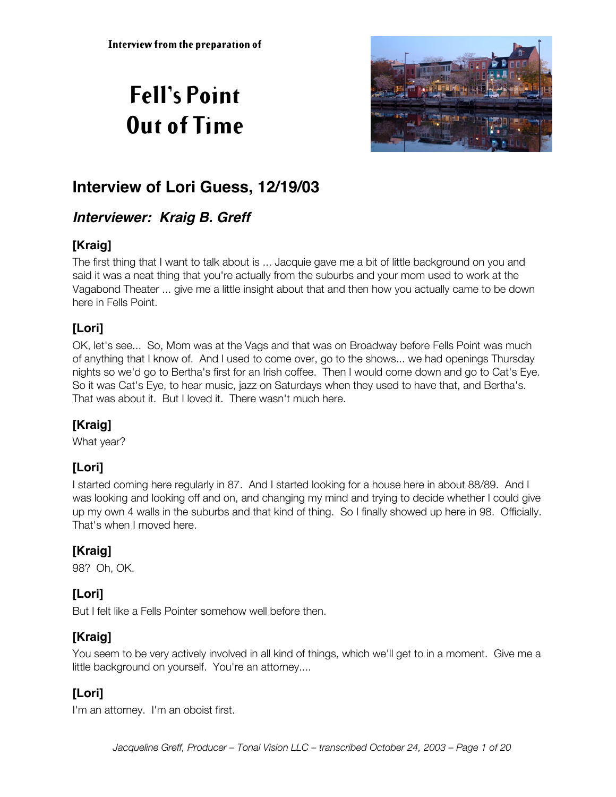# **Fell's Point Out of Time**



# **Interview of Lori Guess, 12/19/03**

# **Interviewer: Kraig B. Greff**

### **[Kraig]**

The first thing that I want to talk about is ... Jacquie gave me a bit of little background on you and said it was a neat thing that you're actually from the suburbs and your mom used to work at the Vagabond Theater ... give me a little insight about that and then how you actually came to be down here in Fells Point.

# **[Lori]**

OK, let's see... So, Mom was at the Vags and that was on Broadway before Fells Point was much of anything that I know of. And I used to come over, go to the shows... we had openings Thursday nights so we'd go to Bertha's first for an Irish coffee. Then I would come down and go to Cat's Eye. So it was Cat's Eye, to hear music, jazz on Saturdays when they used to have that, and Bertha's. That was about it. But I loved it. There wasn't much here.

### **[Kraig]**

What year?

### **[Lori]**

I started coming here regularly in 87. And I started looking for a house here in about 88/89. And I was looking and looking off and on, and changing my mind and trying to decide whether I could give up my own 4 walls in the suburbs and that kind of thing. So I finally showed up here in 98. Officially. That's when I moved here.

### **[Kraig]**

98? Oh, OK.

### **[Lori]**

But I felt like a Fells Pointer somehow well before then.

### **[Kraig]**

You seem to be very actively involved in all kind of things, which we'll get to in a moment. Give me a little background on yourself. You're an attorney....

# **[Lori]**

I'm an attorney. I'm an oboist first.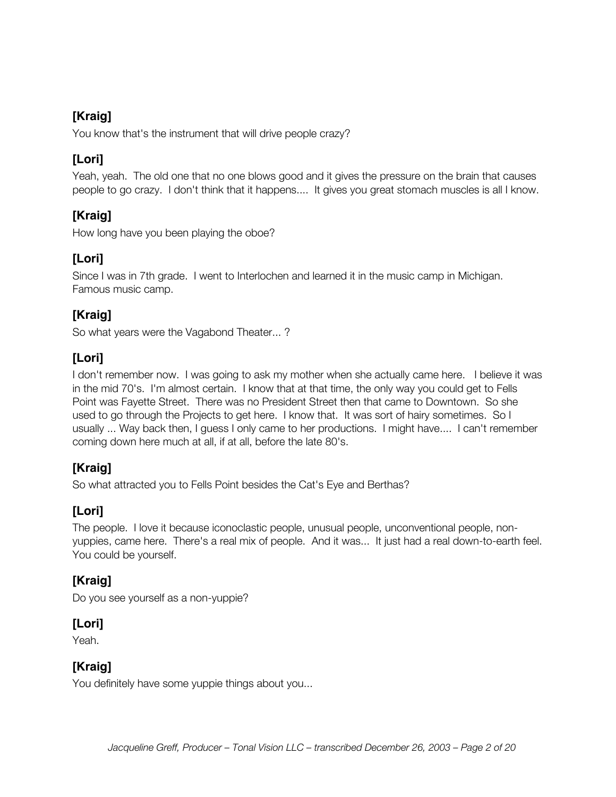You know that's the instrument that will drive people crazy?

### **[Lori]**

Yeah, yeah. The old one that no one blows good and it gives the pressure on the brain that causes people to go crazy. I don't think that it happens.... It gives you great stomach muscles is all I know.

### **[Kraig]**

How long have you been playing the oboe?

### **[Lori]**

Since I was in 7th grade. I went to Interlochen and learned it in the music camp in Michigan. Famous music camp.

### **[Kraig]**

So what years were the Vagabond Theater... ?

### **[Lori]**

I don't remember now. I was going to ask my mother when she actually came here. I believe it was in the mid 70's. I'm almost certain. I know that at that time, the only way you could get to Fells Point was Fayette Street. There was no President Street then that came to Downtown. So she used to go through the Projects to get here. I know that. It was sort of hairy sometimes. So I usually ... Way back then, I guess I only came to her productions. I might have.... I can't remember coming down here much at all, if at all, before the late 80's.

### **[Kraig]**

So what attracted you to Fells Point besides the Cat's Eye and Berthas?

### **[Lori]**

The people. I love it because iconoclastic people, unusual people, unconventional people, nonyuppies, came here. There's a real mix of people. And it was... It just had a real down-to-earth feel. You could be yourself.

### **[Kraig]**

Do you see yourself as a non-yuppie?

#### **[Lori]**

Yeah.

#### **[Kraig]**

You definitely have some yuppie things about you...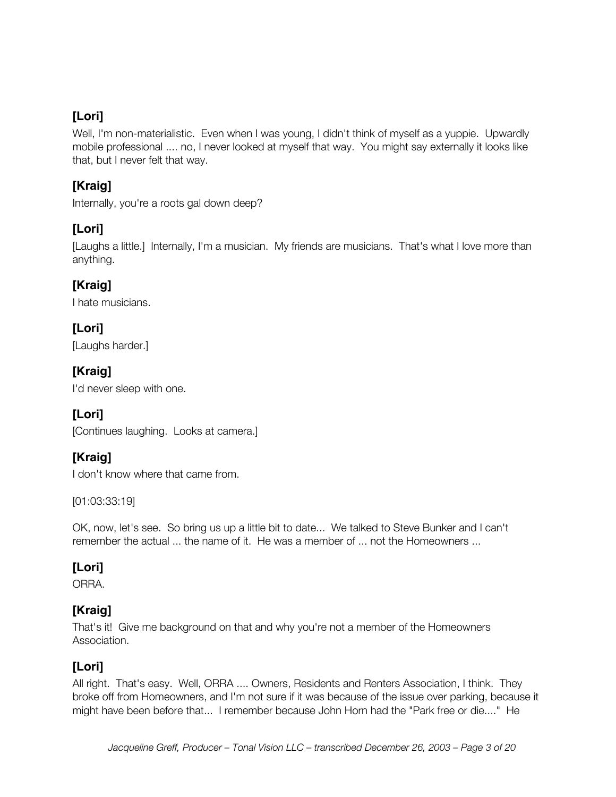Well, I'm non-materialistic. Even when I was young, I didn't think of myself as a yuppie. Upwardly mobile professional .... no, I never looked at myself that way. You might say externally it looks like that, but I never felt that way.

### **[Kraig]**

Internally, you're a roots gal down deep?

### **[Lori]**

[Laughs a little.] Internally, I'm a musician. My friends are musicians. That's what I love more than anything.

### **[Kraig]**

I hate musicians.

### **[Lori]**

[Laughs harder.]

#### **[Kraig]**

I'd never sleep with one.

### **[Lori]**

[Continues laughing. Looks at camera.]

### **[Kraig]**

I don't know where that came from.

[01:03:33:19]

OK, now, let's see. So bring us up a little bit to date... We talked to Steve Bunker and I can't remember the actual ... the name of it. He was a member of ... not the Homeowners ...

### **[Lori]**

ORRA.

### **[Kraig]**

That's it! Give me background on that and why you're not a member of the Homeowners Association.

#### **[Lori]**

All right. That's easy. Well, ORRA .... Owners, Residents and Renters Association, I think. They broke off from Homeowners, and I'm not sure if it was because of the issue over parking, because it might have been before that... I remember because John Horn had the "Park free or die...." He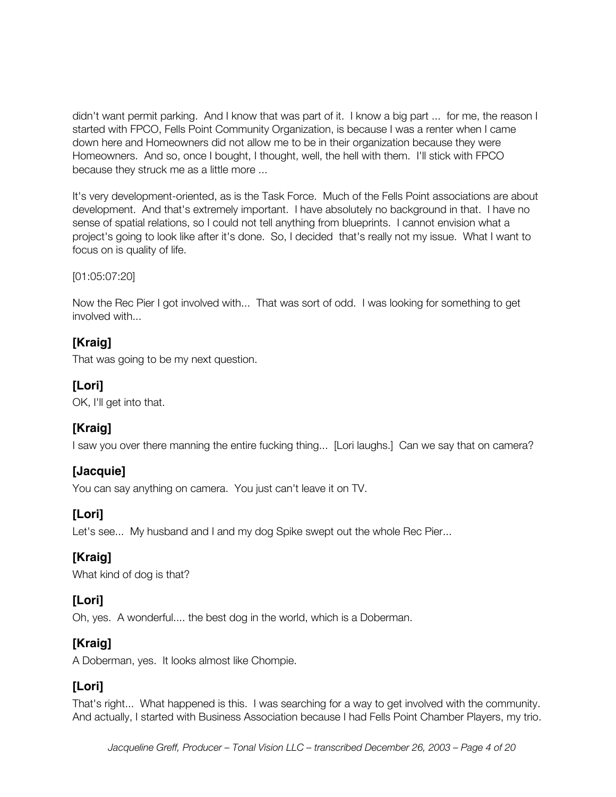didn't want permit parking. And I know that was part of it. I know a big part ... for me, the reason I started with FPCO, Fells Point Community Organization, is because I was a renter when I came down here and Homeowners did not allow me to be in their organization because they were Homeowners. And so, once I bought, I thought, well, the hell with them. I'll stick with FPCO because they struck me as a little more ...

It's very development-oriented, as is the Task Force. Much of the Fells Point associations are about development. And that's extremely important. I have absolutely no background in that. I have no sense of spatial relations, so I could not tell anything from blueprints. I cannot envision what a project's going to look like after it's done. So, I decided that's really not my issue. What I want to focus on is quality of life.

[01:05:07:20]

Now the Rec Pier I got involved with... That was sort of odd. I was looking for something to get involved with...

#### **[Kraig]**

That was going to be my next question.

#### **[Lori]**

OK, I'll get into that.

#### **[Kraig]**

I saw you over there manning the entire fucking thing... [Lori laughs.] Can we say that on camera?

#### **[Jacquie]**

You can say anything on camera. You just can't leave it on TV.

#### **[Lori]**

Let's see... My husband and I and my dog Spike swept out the whole Rec Pier...

#### **[Kraig]**

What kind of dog is that?

#### **[Lori]**

Oh, yes. A wonderful.... the best dog in the world, which is a Doberman.

### **[Kraig]**

A Doberman, yes. It looks almost like Chompie.

#### **[Lori]**

That's right... What happened is this. I was searching for a way to get involved with the community. And actually, I started with Business Association because I had Fells Point Chamber Players, my trio.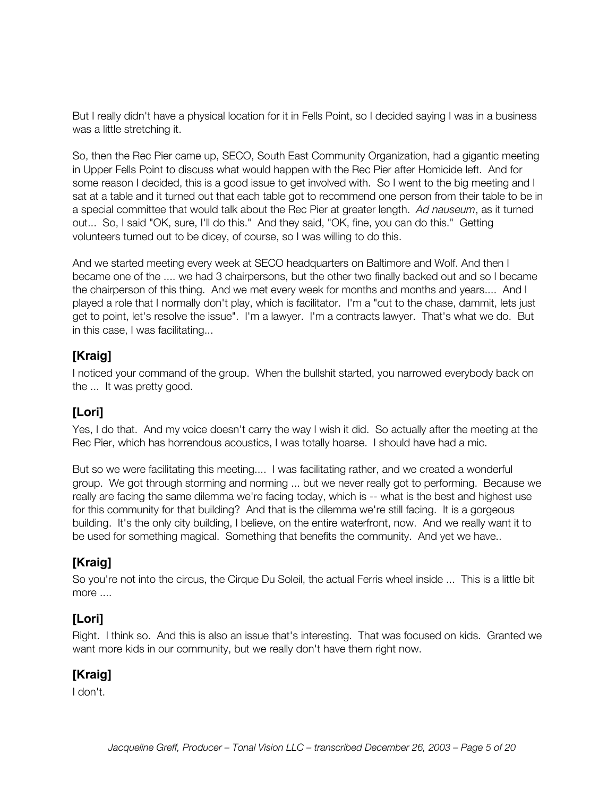But I really didn't have a physical location for it in Fells Point, so I decided saying I was in a business was a little stretching it.

So, then the Rec Pier came up, SECO, South East Community Organization, had a gigantic meeting in Upper Fells Point to discuss what would happen with the Rec Pier after Homicide left. And for some reason I decided, this is a good issue to get involved with. So I went to the big meeting and I sat at a table and it turned out that each table got to recommend one person from their table to be in a special committee that would talk about the Rec Pier at greater length. *Ad nauseum*, as it turned out... So, I said "OK, sure, I'll do this." And they said, "OK, fine, you can do this." Getting volunteers turned out to be dicey, of course, so I was willing to do this.

And we started meeting every week at SECO headquarters on Baltimore and Wolf. And then I became one of the .... we had 3 chairpersons, but the other two finally backed out and so I became the chairperson of this thing. And we met every week for months and months and years.... And I played a role that I normally don't play, which is facilitator. I'm a "cut to the chase, dammit, lets just get to point, let's resolve the issue". I'm a lawyer. I'm a contracts lawyer. That's what we do. But in this case, I was facilitating...

#### **[Kraig]**

I noticed your command of the group. When the bullshit started, you narrowed everybody back on the ... It was pretty good.

#### **[Lori]**

Yes, I do that. And my voice doesn't carry the way I wish it did. So actually after the meeting at the Rec Pier, which has horrendous acoustics, I was totally hoarse. I should have had a mic.

But so we were facilitating this meeting.... I was facilitating rather, and we created a wonderful group. We got through storming and norming ... but we never really got to performing. Because we really are facing the same dilemma we're facing today, which is -- what is the best and highest use for this community for that building? And that is the dilemma we're still facing. It is a gorgeous building. It's the only city building, I believe, on the entire waterfront, now. And we really want it to be used for something magical. Something that benefits the community. And yet we have..

#### **[Kraig]**

So you're not into the circus, the Cirque Du Soleil, the actual Ferris wheel inside ... This is a little bit more ....

### **[Lori]**

Right. I think so. And this is also an issue that's interesting. That was focused on kids. Granted we want more kids in our community, but we really don't have them right now.

#### **[Kraig]**

I don't.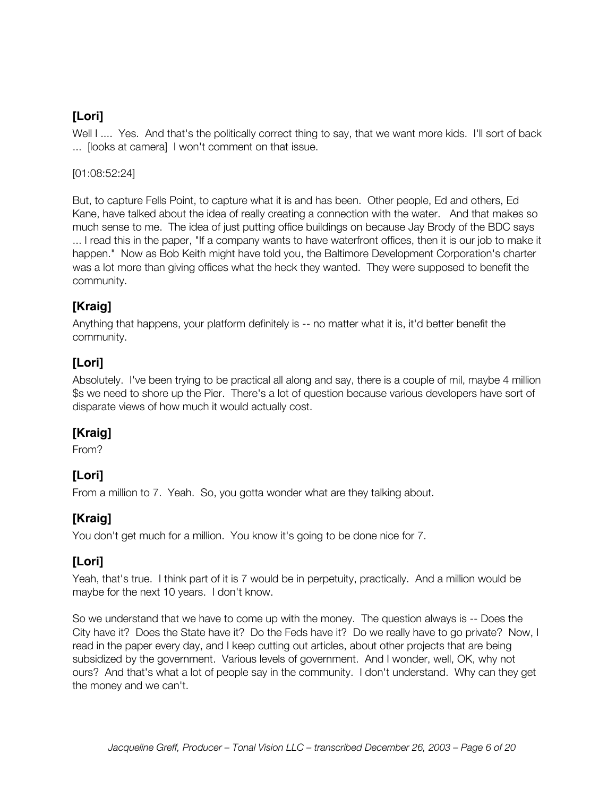Well I .... Yes. And that's the politically correct thing to say, that we want more kids. I'll sort of back ... [looks at camera] I won't comment on that issue.

#### [01:08:52:24]

But, to capture Fells Point, to capture what it is and has been. Other people, Ed and others, Ed Kane, have talked about the idea of really creating a connection with the water. And that makes so much sense to me. The idea of just putting office buildings on because Jay Brody of the BDC says ... I read this in the paper, "If a company wants to have waterfront offices, then it is our job to make it happen." Now as Bob Keith might have told you, the Baltimore Development Corporation's charter was a lot more than giving offices what the heck they wanted. They were supposed to benefit the community.

#### **[Kraig]**

Anything that happens, your platform definitely is -- no matter what it is, it'd better benefit the community.

#### **[Lori]**

Absolutely. I've been trying to be practical all along and say, there is a couple of mil, maybe 4 million \$s we need to shore up the Pier. There's a lot of question because various developers have sort of disparate views of how much it would actually cost.

#### **[Kraig]**

From?

### **[Lori]**

From a million to 7. Yeah. So, you gotta wonder what are they talking about.

### **[Kraig]**

You don't get much for a million. You know it's going to be done nice for 7.

#### **[Lori]**

Yeah, that's true. I think part of it is 7 would be in perpetuity, practically. And a million would be maybe for the next 10 years. I don't know.

So we understand that we have to come up with the money. The question always is -- Does the City have it? Does the State have it? Do the Feds have it? Do we really have to go private? Now, I read in the paper every day, and I keep cutting out articles, about other projects that are being subsidized by the government. Various levels of government. And I wonder, well, OK, why not ours? And that's what a lot of people say in the community. I don't understand. Why can they get the money and we can't.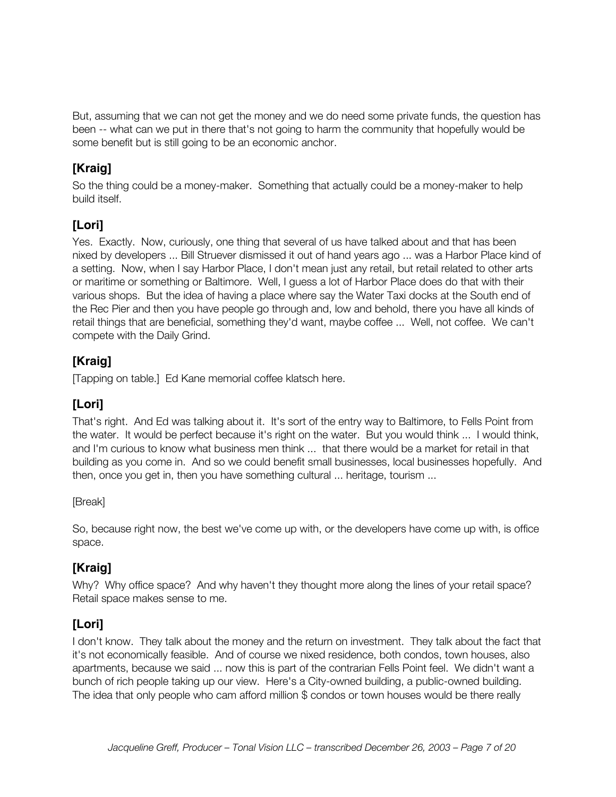But, assuming that we can not get the money and we do need some private funds, the question has been -- what can we put in there that's not going to harm the community that hopefully would be some benefit but is still going to be an economic anchor.

### **[Kraig]**

So the thing could be a money-maker. Something that actually could be a money-maker to help build itself.

### **[Lori]**

Yes. Exactly. Now, curiously, one thing that several of us have talked about and that has been nixed by developers ... Bill Struever dismissed it out of hand years ago ... was a Harbor Place kind of a setting. Now, when I say Harbor Place, I don't mean just any retail, but retail related to other arts or maritime or something or Baltimore. Well, I guess a lot of Harbor Place does do that with their various shops. But the idea of having a place where say the Water Taxi docks at the South end of the Rec Pier and then you have people go through and, low and behold, there you have all kinds of retail things that are beneficial, something they'd want, maybe coffee ... Well, not coffee. We can't compete with the Daily Grind.

### **[Kraig]**

[Tapping on table.] Ed Kane memorial coffee klatsch here.

### **[Lori]**

That's right. And Ed was talking about it. It's sort of the entry way to Baltimore, to Fells Point from the water. It would be perfect because it's right on the water. But you would think ... I would think, and I'm curious to know what business men think ... that there would be a market for retail in that building as you come in. And so we could benefit small businesses, local businesses hopefully. And then, once you get in, then you have something cultural ... heritage, tourism ...

[Break]

So, because right now, the best we've come up with, or the developers have come up with, is office space.

### **[Kraig]**

Why? Why office space? And why haven't they thought more along the lines of your retail space? Retail space makes sense to me.

### **[Lori]**

I don't know. They talk about the money and the return on investment. They talk about the fact that it's not economically feasible. And of course we nixed residence, both condos, town houses, also apartments, because we said ... now this is part of the contrarian Fells Point feel. We didn't want a bunch of rich people taking up our view. Here's a City-owned building, a public-owned building. The idea that only people who cam afford million \$ condos or town houses would be there really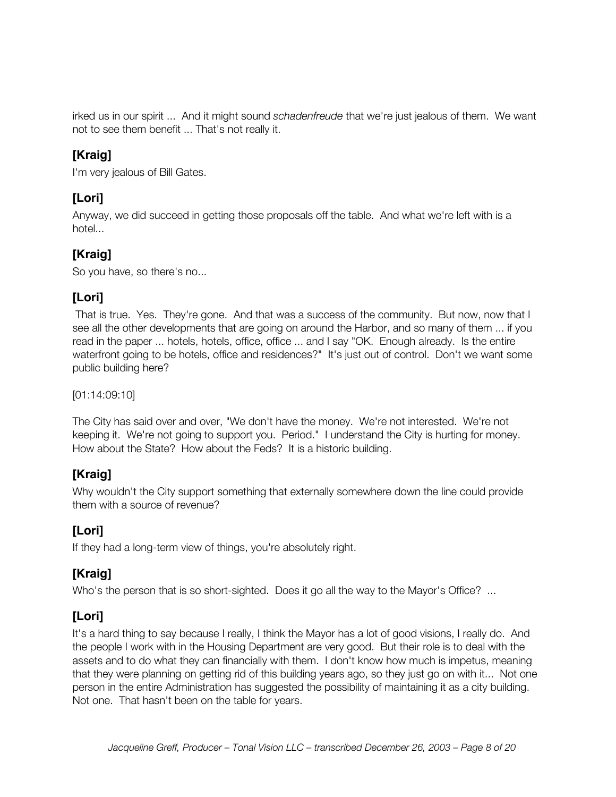irked us in our spirit ... And it might sound *schadenfreude* that we're just jealous of them. We want not to see them benefit ... That's not really it.

### **[Kraig]**

I'm very jealous of Bill Gates.

### **[Lori]**

Anyway, we did succeed in getting those proposals off the table. And what we're left with is a hotel...

### **[Kraig]**

So you have, so there's no...

### **[Lori]**

 That is true. Yes. They're gone. And that was a success of the community. But now, now that I see all the other developments that are going on around the Harbor, and so many of them ... if you read in the paper ... hotels, hotels, office, office ... and I say "OK. Enough already. Is the entire waterfront going to be hotels, office and residences?" It's just out of control. Don't we want some public building here?

[01:14:09:10]

The City has said over and over, "We don't have the money. We're not interested. We're not keeping it. We're not going to support you. Period." I understand the City is hurting for money. How about the State? How about the Feds? It is a historic building.

### **[Kraig]**

Why wouldn't the City support something that externally somewhere down the line could provide them with a source of revenue?

### **[Lori]**

If they had a long-term view of things, you're absolutely right.

### **[Kraig]**

Who's the person that is so short-sighted. Does it go all the way to the Mayor's Office? ...

### **[Lori]**

It's a hard thing to say because I really, I think the Mayor has a lot of good visions, I really do. And the people I work with in the Housing Department are very good. But their role is to deal with the assets and to do what they can financially with them. I don't know how much is impetus, meaning that they were planning on getting rid of this building years ago, so they just go on with it... Not one person in the entire Administration has suggested the possibility of maintaining it as a city building. Not one. That hasn't been on the table for years.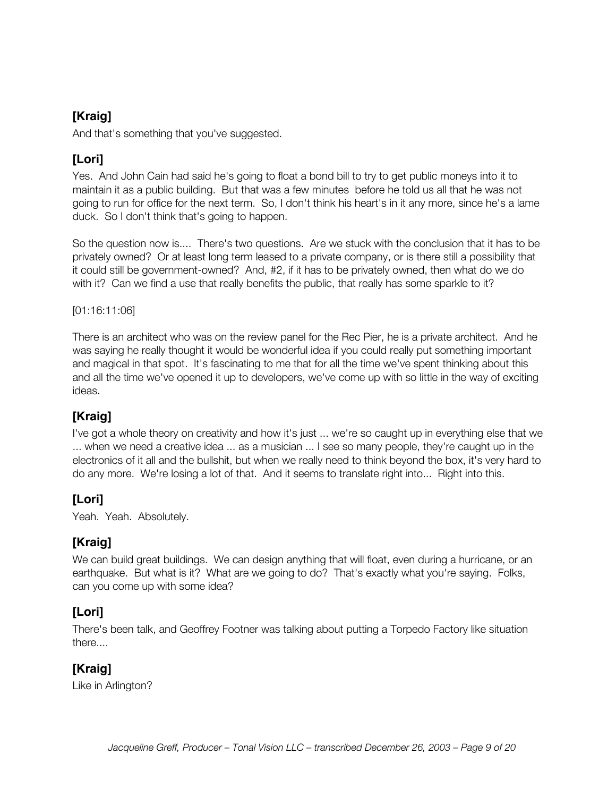And that's something that you've suggested.

### **[Lori]**

Yes. And John Cain had said he's going to float a bond bill to try to get public moneys into it to maintain it as a public building. But that was a few minutes before he told us all that he was not going to run for office for the next term. So, I don't think his heart's in it any more, since he's a lame duck. So I don't think that's going to happen.

So the question now is.... There's two questions. Are we stuck with the conclusion that it has to be privately owned? Or at least long term leased to a private company, or is there still a possibility that it could still be government-owned? And, #2, if it has to be privately owned, then what do we do with it? Can we find a use that really benefits the public, that really has some sparkle to it?

[01:16:11:06]

There is an architect who was on the review panel for the Rec Pier, he is a private architect. And he was saying he really thought it would be wonderful idea if you could really put something important and magical in that spot. It's fascinating to me that for all the time we've spent thinking about this and all the time we've opened it up to developers, we've come up with so little in the way of exciting ideas.

#### **[Kraig]**

I've got a whole theory on creativity and how it's just ... we're so caught up in everything else that we ... when we need a creative idea ... as a musician ... I see so many people, they're caught up in the electronics of it all and the bullshit, but when we really need to think beyond the box, it's very hard to do any more. We're losing a lot of that. And it seems to translate right into... Right into this.

#### **[Lori]**

Yeah. Yeah. Absolutely.

#### **[Kraig]**

We can build great buildings. We can design anything that will float, even during a hurricane, or an earthquake. But what is it? What are we going to do? That's exactly what you're saying. Folks, can you come up with some idea?

#### **[Lori]**

There's been talk, and Geoffrey Footner was talking about putting a Torpedo Factory like situation there....

### **[Kraig]**

Like in Arlington?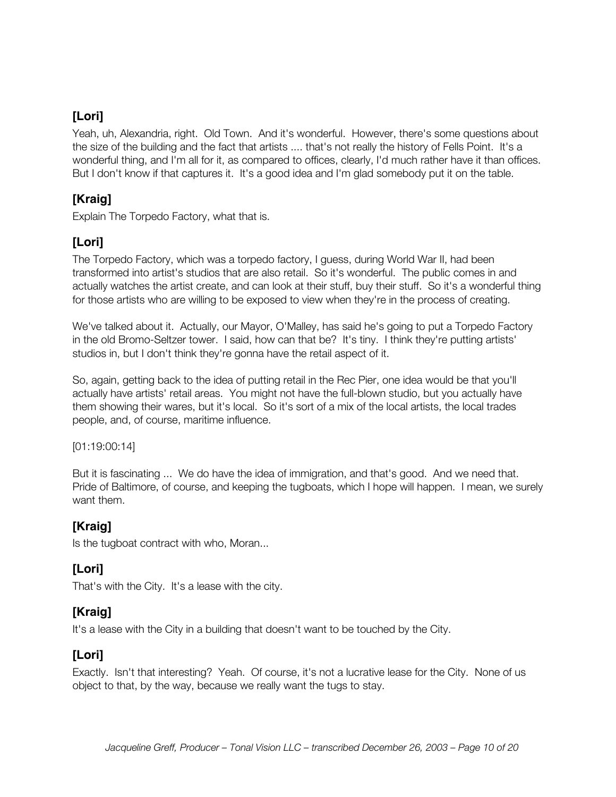Yeah, uh, Alexandria, right. Old Town. And it's wonderful. However, there's some questions about the size of the building and the fact that artists .... that's not really the history of Fells Point. It's a wonderful thing, and I'm all for it, as compared to offices, clearly, I'd much rather have it than offices. But I don't know if that captures it. It's a good idea and I'm glad somebody put it on the table.

#### **[Kraig]**

Explain The Torpedo Factory, what that is.

### **[Lori]**

The Torpedo Factory, which was a torpedo factory, I guess, during World War II, had been transformed into artist's studios that are also retail. So it's wonderful. The public comes in and actually watches the artist create, and can look at their stuff, buy their stuff. So it's a wonderful thing for those artists who are willing to be exposed to view when they're in the process of creating.

We've talked about it. Actually, our Mayor, O'Malley, has said he's going to put a Torpedo Factory in the old Bromo-Seltzer tower. I said, how can that be? It's tiny. I think they're putting artists' studios in, but I don't think they're gonna have the retail aspect of it.

So, again, getting back to the idea of putting retail in the Rec Pier, one idea would be that you'll actually have artists' retail areas. You might not have the full-blown studio, but you actually have them showing their wares, but it's local. So it's sort of a mix of the local artists, the local trades people, and, of course, maritime influence.

#### [01:19:00:14]

But it is fascinating ... We do have the idea of immigration, and that's good. And we need that. Pride of Baltimore, of course, and keeping the tugboats, which I hope will happen. I mean, we surely want them.

#### **[Kraig]**

Is the tugboat contract with who, Moran...

### **[Lori]**

That's with the City. It's a lease with the city.

#### **[Kraig]**

It's a lease with the City in a building that doesn't want to be touched by the City.

#### **[Lori]**

Exactly. Isn't that interesting? Yeah. Of course, it's not a lucrative lease for the City. None of us object to that, by the way, because we really want the tugs to stay.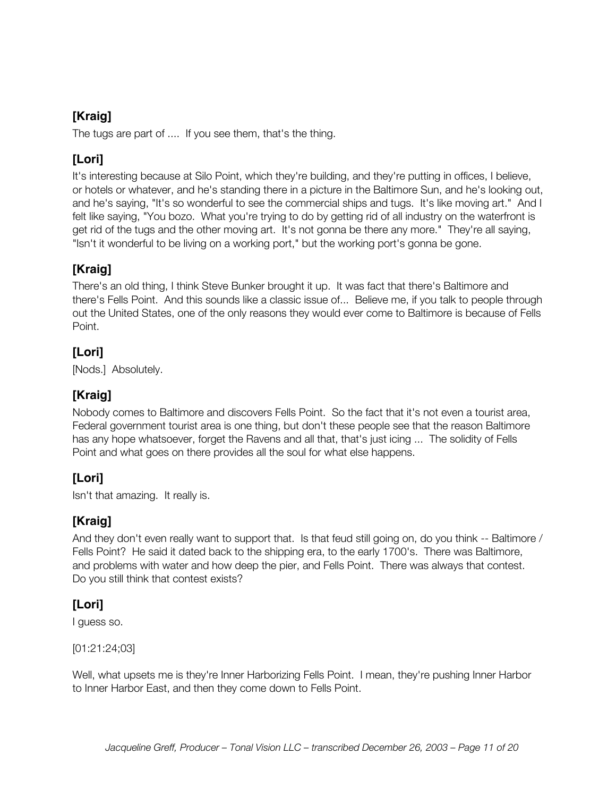The tugs are part of .... If you see them, that's the thing.

### **[Lori]**

It's interesting because at Silo Point, which they're building, and they're putting in offices, I believe, or hotels or whatever, and he's standing there in a picture in the Baltimore Sun, and he's looking out, and he's saying, "It's so wonderful to see the commercial ships and tugs. It's like moving art." And I felt like saying, "You bozo. What you're trying to do by getting rid of all industry on the waterfront is get rid of the tugs and the other moving art. It's not gonna be there any more." They're all saying, "Isn't it wonderful to be living on a working port," but the working port's gonna be gone.

### **[Kraig]**

There's an old thing, I think Steve Bunker brought it up. It was fact that there's Baltimore and there's Fells Point. And this sounds like a classic issue of... Believe me, if you talk to people through out the United States, one of the only reasons they would ever come to Baltimore is because of Fells Point.

### **[Lori]**

[Nods.] Absolutely.

### **[Kraig]**

Nobody comes to Baltimore and discovers Fells Point. So the fact that it's not even a tourist area, Federal government tourist area is one thing, but don't these people see that the reason Baltimore has any hope whatsoever, forget the Ravens and all that, that's just icing ... The solidity of Fells Point and what goes on there provides all the soul for what else happens.

### **[Lori]**

Isn't that amazing. It really is.

### **[Kraig]**

And they don't even really want to support that. Is that feud still going on, do you think -- Baltimore / Fells Point? He said it dated back to the shipping era, to the early 1700's. There was Baltimore, and problems with water and how deep the pier, and Fells Point. There was always that contest. Do you still think that contest exists?

### **[Lori]**

I guess so.

[01:21:24;03]

Well, what upsets me is they're Inner Harborizing Fells Point. I mean, they're pushing Inner Harbor to Inner Harbor East, and then they come down to Fells Point.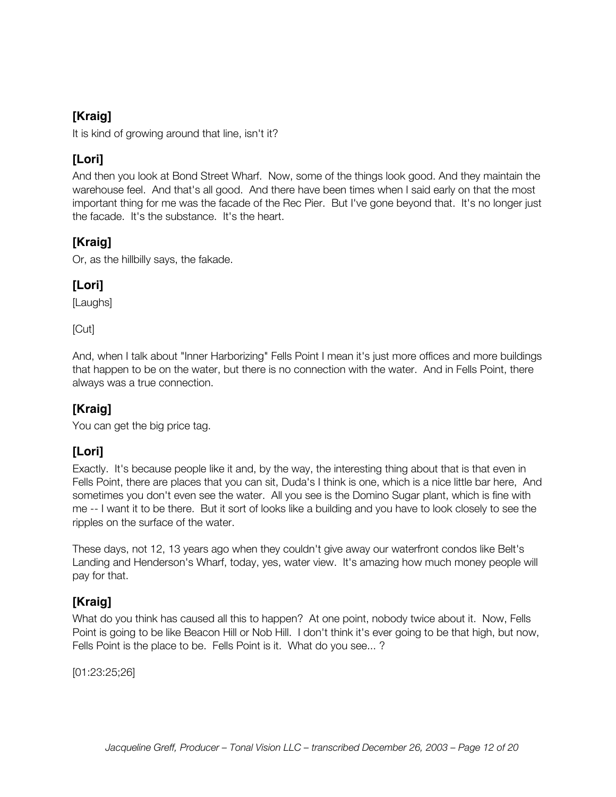It is kind of growing around that line, isn't it?

### **[Lori]**

And then you look at Bond Street Wharf. Now, some of the things look good. And they maintain the warehouse feel. And that's all good. And there have been times when I said early on that the most important thing for me was the facade of the Rec Pier. But I've gone beyond that. It's no longer just the facade. It's the substance. It's the heart.

### **[Kraig]**

Or, as the hillbilly says, the fakade.

### **[Lori]**

[Laughs]

[Cut]

And, when I talk about "Inner Harborizing" Fells Point I mean it's just more offices and more buildings that happen to be on the water, but there is no connection with the water. And in Fells Point, there always was a true connection.

### **[Kraig]**

You can get the big price tag.

### **[Lori]**

Exactly. It's because people like it and, by the way, the interesting thing about that is that even in Fells Point, there are places that you can sit, Duda's I think is one, which is a nice little bar here, And sometimes you don't even see the water. All you see is the Domino Sugar plant, which is fine with me -- I want it to be there. But it sort of looks like a building and you have to look closely to see the ripples on the surface of the water.

These days, not 12, 13 years ago when they couldn't give away our waterfront condos like Belt's Landing and Henderson's Wharf, today, yes, water view. It's amazing how much money people will pay for that.

### **[Kraig]**

What do you think has caused all this to happen? At one point, nobody twice about it. Now, Fells Point is going to be like Beacon Hill or Nob Hill. I don't think it's ever going to be that high, but now, Fells Point is the place to be. Fells Point is it. What do you see... ?

[01:23:25;26]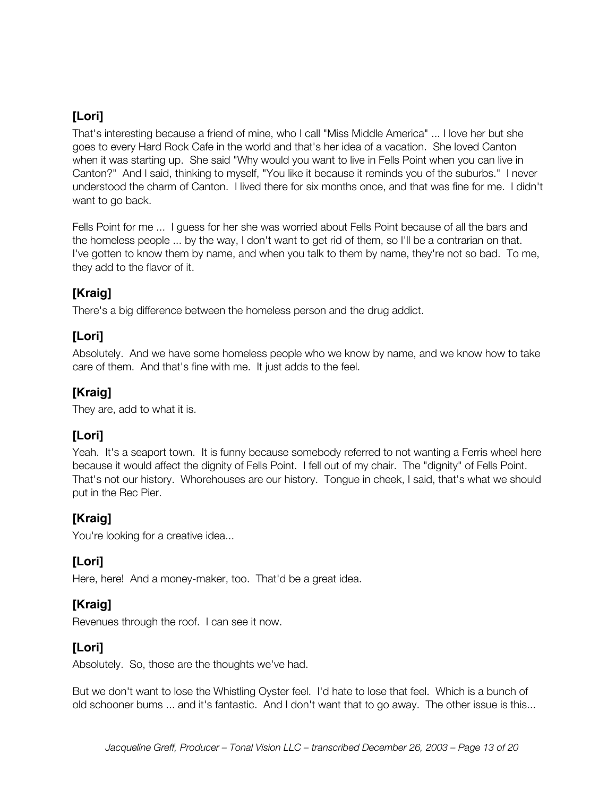That's interesting because a friend of mine, who I call "Miss Middle America" ... I love her but she goes to every Hard Rock Cafe in the world and that's her idea of a vacation. She loved Canton when it was starting up. She said "Why would you want to live in Fells Point when you can live in Canton?" And I said, thinking to myself, "You like it because it reminds you of the suburbs." I never understood the charm of Canton. I lived there for six months once, and that was fine for me. I didn't want to go back.

Fells Point for me ... I guess for her she was worried about Fells Point because of all the bars and the homeless people ... by the way, I don't want to get rid of them, so I'll be a contrarian on that. I've gotten to know them by name, and when you talk to them by name, they're not so bad. To me, they add to the flavor of it.

#### **[Kraig]**

There's a big difference between the homeless person and the drug addict.

### **[Lori]**

Absolutely. And we have some homeless people who we know by name, and we know how to take care of them. And that's fine with me. It just adds to the feel.

### **[Kraig]**

They are, add to what it is.

### **[Lori]**

Yeah. It's a seaport town. It is funny because somebody referred to not wanting a Ferris wheel here because it would affect the dignity of Fells Point. I fell out of my chair. The "dignity" of Fells Point. That's not our history. Whorehouses are our history. Tongue in cheek, I said, that's what we should put in the Rec Pier.

### **[Kraig]**

You're looking for a creative idea...

### **[Lori]**

Here, here! And a money-maker, too. That'd be a great idea.

### **[Kraig]**

Revenues through the roof. I can see it now.

### **[Lori]**

Absolutely. So, those are the thoughts we've had.

But we don't want to lose the Whistling Oyster feel. I'd hate to lose that feel. Which is a bunch of old schooner bums ... and it's fantastic. And I don't want that to go away. The other issue is this...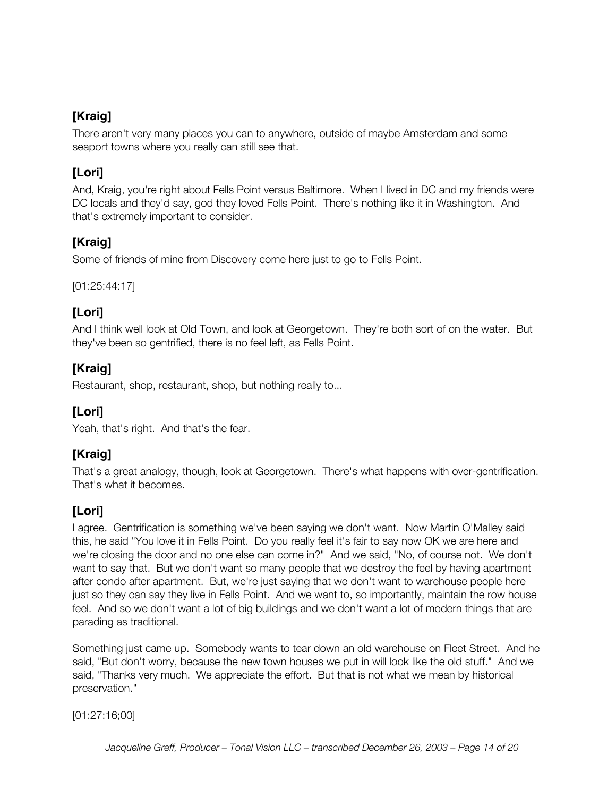There aren't very many places you can to anywhere, outside of maybe Amsterdam and some seaport towns where you really can still see that.

### **[Lori]**

And, Kraig, you're right about Fells Point versus Baltimore. When I lived in DC and my friends were DC locals and they'd say, god they loved Fells Point. There's nothing like it in Washington. And that's extremely important to consider.

### **[Kraig]**

Some of friends of mine from Discovery come here just to go to Fells Point.

[01:25:44:17]

#### **[Lori]**

And I think well look at Old Town, and look at Georgetown. They're both sort of on the water. But they've been so gentrified, there is no feel left, as Fells Point.

### **[Kraig]**

Restaurant, shop, restaurant, shop, but nothing really to...

### **[Lori]**

Yeah, that's right. And that's the fear.

### **[Kraig]**

That's a great analogy, though, look at Georgetown. There's what happens with over-gentrification. That's what it becomes.

### **[Lori]**

I agree. Gentrification is something we've been saying we don't want. Now Martin O'Malley said this, he said "You love it in Fells Point. Do you really feel it's fair to say now OK we are here and we're closing the door and no one else can come in?" And we said, "No, of course not. We don't want to say that. But we don't want so many people that we destroy the feel by having apartment after condo after apartment. But, we're just saying that we don't want to warehouse people here just so they can say they live in Fells Point. And we want to, so importantly, maintain the row house feel. And so we don't want a lot of big buildings and we don't want a lot of modern things that are parading as traditional.

Something just came up. Somebody wants to tear down an old warehouse on Fleet Street. And he said, "But don't worry, because the new town houses we put in will look like the old stuff." And we said, "Thanks very much. We appreciate the effort. But that is not what we mean by historical preservation."

[01:27:16;00]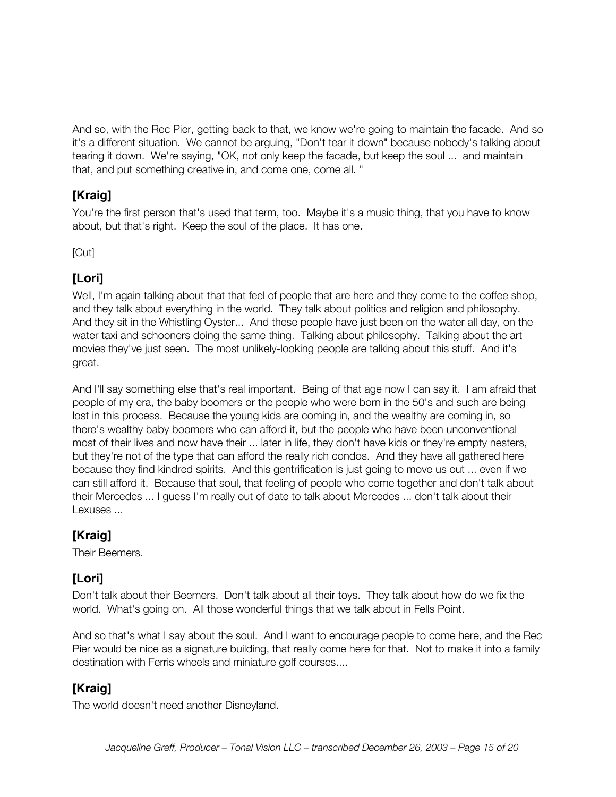And so, with the Rec Pier, getting back to that, we know we're going to maintain the facade. And so it's a different situation. We cannot be arguing, "Don't tear it down" because nobody's talking about tearing it down. We're saying, "OK, not only keep the facade, but keep the soul ... and maintain that, and put something creative in, and come one, come all. "

### **[Kraig]**

You're the first person that's used that term, too. Maybe it's a music thing, that you have to know about, but that's right. Keep the soul of the place. It has one.

[Cut]

### **[Lori]**

Well, I'm again talking about that that feel of people that are here and they come to the coffee shop, and they talk about everything in the world. They talk about politics and religion and philosophy. And they sit in the Whistling Oyster... And these people have just been on the water all day, on the water taxi and schooners doing the same thing. Talking about philosophy. Talking about the art movies they've just seen. The most unlikely-looking people are talking about this stuff. And it's great.

And I'll say something else that's real important. Being of that age now I can say it. I am afraid that people of my era, the baby boomers or the people who were born in the 50's and such are being lost in this process. Because the young kids are coming in, and the wealthy are coming in, so there's wealthy baby boomers who can afford it, but the people who have been unconventional most of their lives and now have their ... later in life, they don't have kids or they're empty nesters, but they're not of the type that can afford the really rich condos. And they have all gathered here because they find kindred spirits. And this gentrification is just going to move us out ... even if we can still afford it. Because that soul, that feeling of people who come together and don't talk about their Mercedes ... I guess I'm really out of date to talk about Mercedes ... don't talk about their Lexuses ...

### **[Kraig]**

Their Beemers.

### **[Lori]**

Don't talk about their Beemers. Don't talk about all their toys. They talk about how do we fix the world. What's going on. All those wonderful things that we talk about in Fells Point.

And so that's what I say about the soul. And I want to encourage people to come here, and the Rec Pier would be nice as a signature building, that really come here for that. Not to make it into a family destination with Ferris wheels and miniature golf courses....

### **[Kraig]**

The world doesn't need another Disneyland.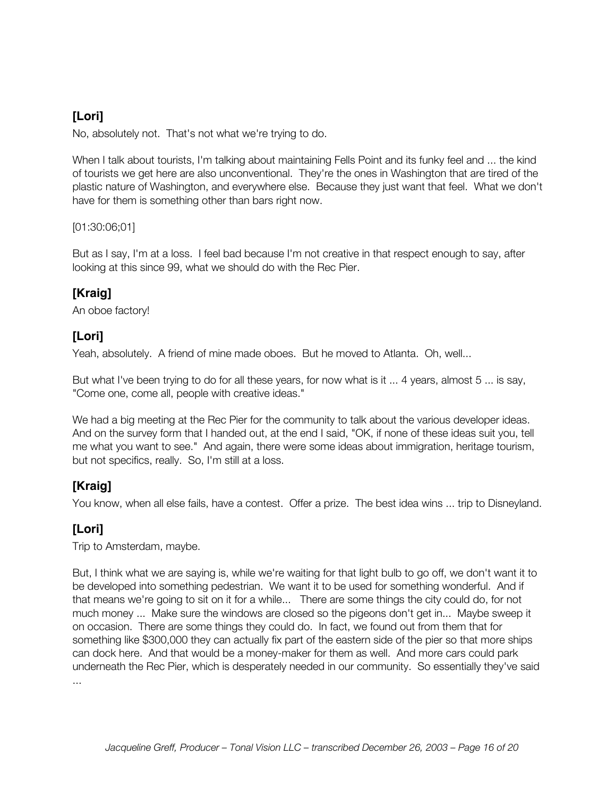No, absolutely not. That's not what we're trying to do.

When I talk about tourists, I'm talking about maintaining Fells Point and its funky feel and ... the kind of tourists we get here are also unconventional. They're the ones in Washington that are tired of the plastic nature of Washington, and everywhere else. Because they just want that feel. What we don't have for them is something other than bars right now.

[01:30:06;01]

But as I say, I'm at a loss. I feel bad because I'm not creative in that respect enough to say, after looking at this since 99, what we should do with the Rec Pier.

### **[Kraig]**

An oboe factory!

### **[Lori]**

Yeah, absolutely. A friend of mine made oboes. But he moved to Atlanta. Oh, well...

But what I've been trying to do for all these years, for now what is it ... 4 years, almost 5 ... is say, "Come one, come all, people with creative ideas."

We had a big meeting at the Rec Pier for the community to talk about the various developer ideas. And on the survey form that I handed out, at the end I said, "OK, if none of these ideas suit you, tell me what you want to see." And again, there were some ideas about immigration, heritage tourism, but not specifics, really. So, I'm still at a loss.

### **[Kraig]**

You know, when all else fails, have a contest. Offer a prize. The best idea wins ... trip to Disneyland.

### **[Lori]**

Trip to Amsterdam, maybe.

But, I think what we are saying is, while we're waiting for that light bulb to go off, we don't want it to be developed into something pedestrian. We want it to be used for something wonderful. And if that means we're going to sit on it for a while... There are some things the city could do, for not much money ... Make sure the windows are closed so the pigeons don't get in... Maybe sweep it on occasion. There are some things they could do. In fact, we found out from them that for something like \$300,000 they can actually fix part of the eastern side of the pier so that more ships can dock here. And that would be a money-maker for them as well. And more cars could park underneath the Rec Pier, which is desperately needed in our community. So essentially they've said ...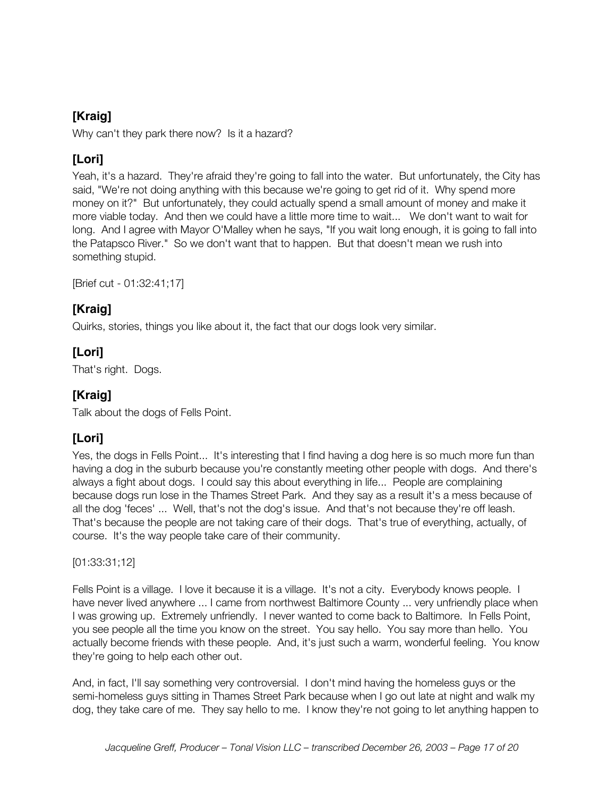Why can't they park there now? Is it a hazard?

### **[Lori]**

Yeah, it's a hazard. They're afraid they're going to fall into the water. But unfortunately, the City has said, "We're not doing anything with this because we're going to get rid of it. Why spend more money on it?" But unfortunately, they could actually spend a small amount of money and make it more viable today. And then we could have a little more time to wait... We don't want to wait for long. And I agree with Mayor O'Malley when he says, "If you wait long enough, it is going to fall into the Patapsco River." So we don't want that to happen. But that doesn't mean we rush into something stupid.

[Brief cut - 01:32:41;17]

### **[Kraig]**

Quirks, stories, things you like about it, the fact that our dogs look very similar.

### **[Lori]**

That's right. Dogs.

### **[Kraig]**

Talk about the dogs of Fells Point.

### **[Lori]**

Yes, the dogs in Fells Point... It's interesting that I find having a dog here is so much more fun than having a dog in the suburb because you're constantly meeting other people with dogs. And there's always a fight about dogs. I could say this about everything in life... People are complaining because dogs run lose in the Thames Street Park. And they say as a result it's a mess because of all the dog 'feces' ... Well, that's not the dog's issue. And that's not because they're off leash. That's because the people are not taking care of their dogs. That's true of everything, actually, of course. It's the way people take care of their community.

[01:33:31;12]

Fells Point is a village. I love it because it is a village. It's not a city. Everybody knows people. I have never lived anywhere ... I came from northwest Baltimore County ... very unfriendly place when I was growing up. Extremely unfriendly. I never wanted to come back to Baltimore. In Fells Point, you see people all the time you know on the street. You say hello. You say more than hello. You actually become friends with these people. And, it's just such a warm, wonderful feeling. You know they're going to help each other out.

And, in fact, I'll say something very controversial. I don't mind having the homeless guys or the semi-homeless guys sitting in Thames Street Park because when I go out late at night and walk my dog, they take care of me. They say hello to me. I know they're not going to let anything happen to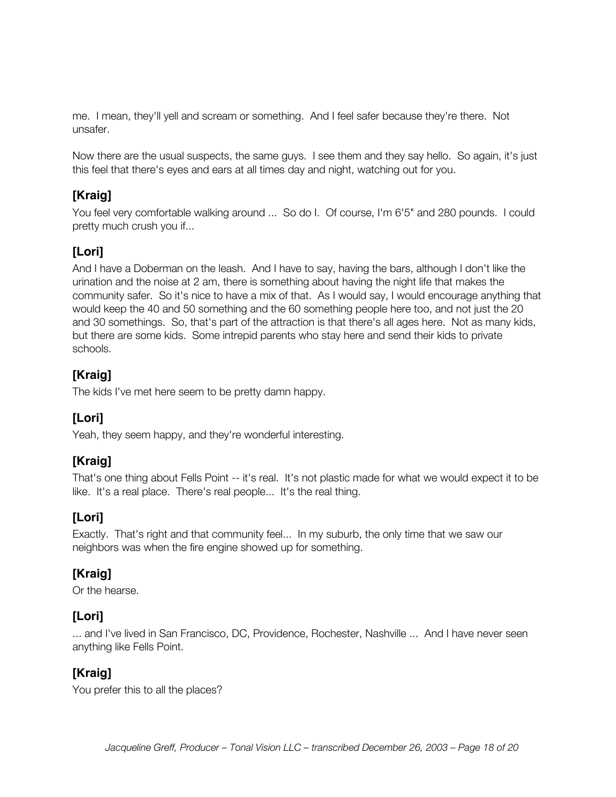me. I mean, they'll yell and scream or something. And I feel safer because they're there. Not unsafer.

Now there are the usual suspects, the same guys. I see them and they say hello. So again, it's just this feel that there's eyes and ears at all times day and night, watching out for you.

### **[Kraig]**

You feel very comfortable walking around ... So do I. Of course, I'm 6'5" and 280 pounds. I could pretty much crush you if...

### **[Lori]**

And I have a Doberman on the leash. And I have to say, having the bars, although I don't like the urination and the noise at 2 am, there is something about having the night life that makes the community safer. So it's nice to have a mix of that. As I would say, I would encourage anything that would keep the 40 and 50 something and the 60 something people here too, and not just the 20 and 30 somethings. So, that's part of the attraction is that there's all ages here. Not as many kids, but there are some kids. Some intrepid parents who stay here and send their kids to private schools.

### **[Kraig]**

The kids I've met here seem to be pretty damn happy.

### **[Lori]**

Yeah, they seem happy, and they're wonderful interesting.

### **[Kraig]**

That's one thing about Fells Point -- it's real. It's not plastic made for what we would expect it to be like. It's a real place. There's real people... It's the real thing.

#### **[Lori]**

Exactly. That's right and that community feel... In my suburb, the only time that we saw our neighbors was when the fire engine showed up for something.

### **[Kraig]**

Or the hearse.

#### **[Lori]**

... and I've lived in San Francisco, DC, Providence, Rochester, Nashville ... And I have never seen anything like Fells Point.

### **[Kraig]**

You prefer this to all the places?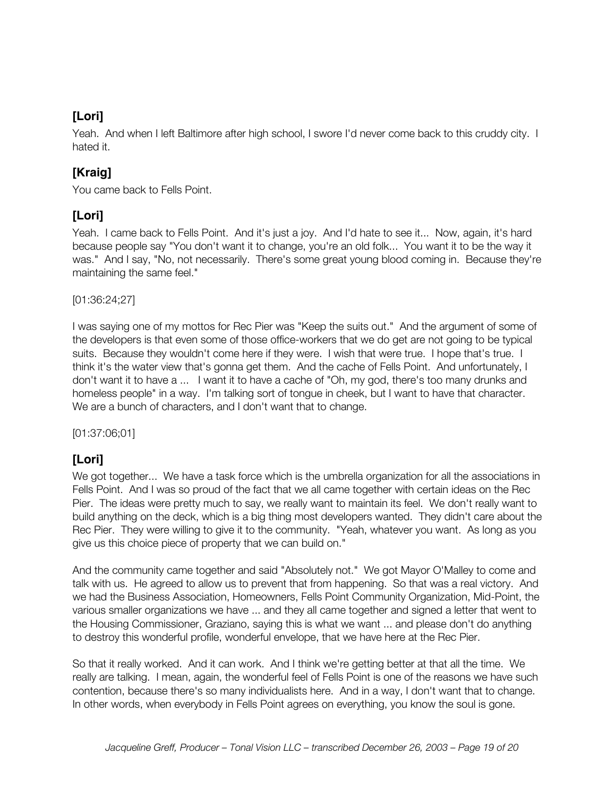Yeah. And when I left Baltimore after high school, I swore I'd never come back to this cruddy city. I hated it.

### **[Kraig]**

You came back to Fells Point.

#### **[Lori]**

Yeah. I came back to Fells Point. And it's just a joy. And I'd hate to see it... Now, again, it's hard because people say "You don't want it to change, you're an old folk... You want it to be the way it was." And I say, "No, not necessarily. There's some great young blood coming in. Because they're maintaining the same feel."

[01:36:24;27]

I was saying one of my mottos for Rec Pier was "Keep the suits out." And the argument of some of the developers is that even some of those office-workers that we do get are not going to be typical suits. Because they wouldn't come here if they were. I wish that were true. I hope that's true. I think it's the water view that's gonna get them. And the cache of Fells Point. And unfortunately, I don't want it to have a ... I want it to have a cache of "Oh, my god, there's too many drunks and homeless people" in a way. I'm talking sort of tongue in cheek, but I want to have that character. We are a bunch of characters, and I don't want that to change.

[01:37:06;01]

### **[Lori]**

We got together... We have a task force which is the umbrella organization for all the associations in Fells Point. And I was so proud of the fact that we all came together with certain ideas on the Rec Pier. The ideas were pretty much to say, we really want to maintain its feel. We don't really want to build anything on the deck, which is a big thing most developers wanted. They didn't care about the Rec Pier. They were willing to give it to the community. "Yeah, whatever you want. As long as you give us this choice piece of property that we can build on."

And the community came together and said "Absolutely not." We got Mayor O'Malley to come and talk with us. He agreed to allow us to prevent that from happening. So that was a real victory. And we had the Business Association, Homeowners, Fells Point Community Organization, Mid-Point, the various smaller organizations we have ... and they all came together and signed a letter that went to the Housing Commissioner, Graziano, saying this is what we want ... and please don't do anything to destroy this wonderful profile, wonderful envelope, that we have here at the Rec Pier.

So that it really worked. And it can work. And I think we're getting better at that all the time. We really are talking. I mean, again, the wonderful feel of Fells Point is one of the reasons we have such contention, because there's so many individualists here. And in a way, I don't want that to change. In other words, when everybody in Fells Point agrees on everything, you know the soul is gone.